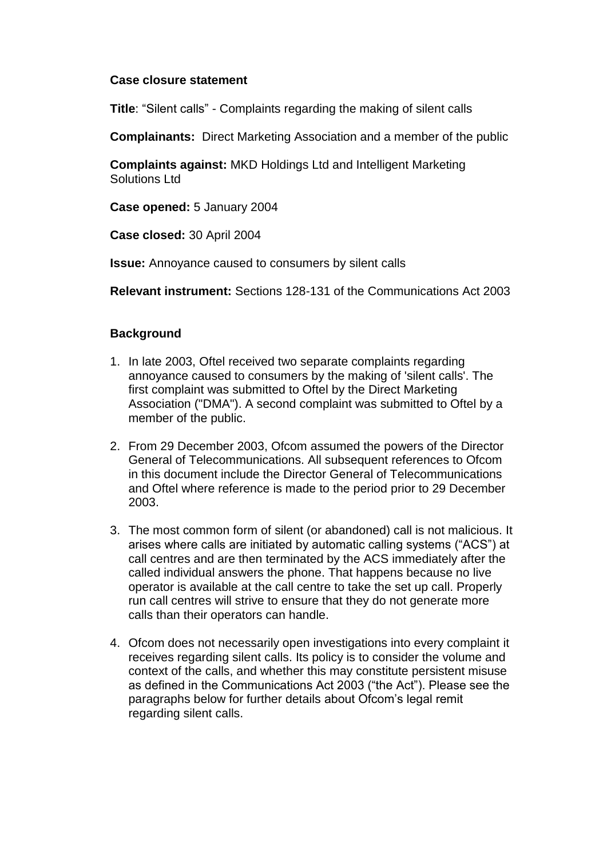### **Case closure statement**

**Title**: "Silent calls" - Complaints regarding the making of silent calls

**Complainants:** Direct Marketing Association and a member of the public

**Complaints against:** MKD Holdings Ltd and Intelligent Marketing Solutions Ltd

**Case opened:** 5 January 2004

**Case closed:** 30 April 2004

**Issue:** Annoyance caused to consumers by silent calls

**Relevant instrument:** Sections 128-131 of the Communications Act 2003

# **Background**

- 1. In late 2003, Oftel received two separate complaints regarding annoyance caused to consumers by the making of 'silent calls'. The first complaint was submitted to Oftel by the Direct Marketing Association ("DMA"). A second complaint was submitted to Oftel by a member of the public.
- 2. From 29 December 2003, Ofcom assumed the powers of the Director General of Telecommunications. All subsequent references to Ofcom in this document include the Director General of Telecommunications and Oftel where reference is made to the period prior to 29 December 2003.
- 3. The most common form of silent (or abandoned) call is not malicious. It arises where calls are initiated by automatic calling systems ("ACS") at call centres and are then terminated by the ACS immediately after the called individual answers the phone. That happens because no live operator is available at the call centre to take the set up call. Properly run call centres will strive to ensure that they do not generate more calls than their operators can handle.
- 4. Ofcom does not necessarily open investigations into every complaint it receives regarding silent calls. Its policy is to consider the volume and context of the calls, and whether this may constitute persistent misuse as defined in the Communications Act 2003 ("the Act"). Please see the paragraphs below for further details about Ofcom's legal remit regarding silent calls.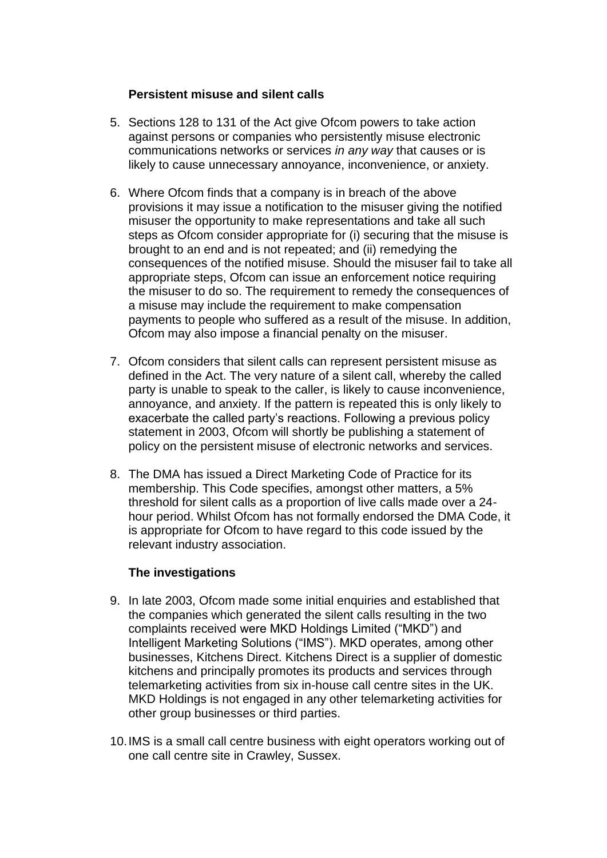# **Persistent misuse and silent calls**

- 5. Sections 128 to 131 of the Act give Ofcom powers to take action against persons or companies who persistently misuse electronic communications networks or services *in any way* that causes or is likely to cause unnecessary annoyance, inconvenience, or anxiety.
- 6. Where Ofcom finds that a company is in breach of the above provisions it may issue a notification to the misuser giving the notified misuser the opportunity to make representations and take all such steps as Ofcom consider appropriate for (i) securing that the misuse is brought to an end and is not repeated; and (ii) remedying the consequences of the notified misuse. Should the misuser fail to take all appropriate steps, Ofcom can issue an enforcement notice requiring the misuser to do so. The requirement to remedy the consequences of a misuse may include the requirement to make compensation payments to people who suffered as a result of the misuse. In addition, Ofcom may also impose a financial penalty on the misuser.
- 7. Ofcom considers that silent calls can represent persistent misuse as defined in the Act. The very nature of a silent call, whereby the called party is unable to speak to the caller, is likely to cause inconvenience, annoyance, and anxiety. If the pattern is repeated this is only likely to exacerbate the called party's reactions. Following a previous policy statement in 2003, Ofcom will shortly be publishing a statement of policy on the persistent misuse of electronic networks and services.
- 8. The DMA has issued a Direct Marketing Code of Practice for its membership. This Code specifies, amongst other matters, a 5% threshold for silent calls as a proportion of live calls made over a 24 hour period. Whilst Ofcom has not formally endorsed the DMA Code, it is appropriate for Ofcom to have regard to this code issued by the relevant industry association.

#### **The investigations**

- 9. In late 2003, Ofcom made some initial enquiries and established that the companies which generated the silent calls resulting in the two complaints received were MKD Holdings Limited ("MKD") and Intelligent Marketing Solutions ("IMS"). MKD operates, among other businesses, Kitchens Direct. Kitchens Direct is a supplier of domestic kitchens and principally promotes its products and services through telemarketing activities from six in-house call centre sites in the UK. MKD Holdings is not engaged in any other telemarketing activities for other group businesses or third parties.
- 10.IMS is a small call centre business with eight operators working out of one call centre site in Crawley, Sussex.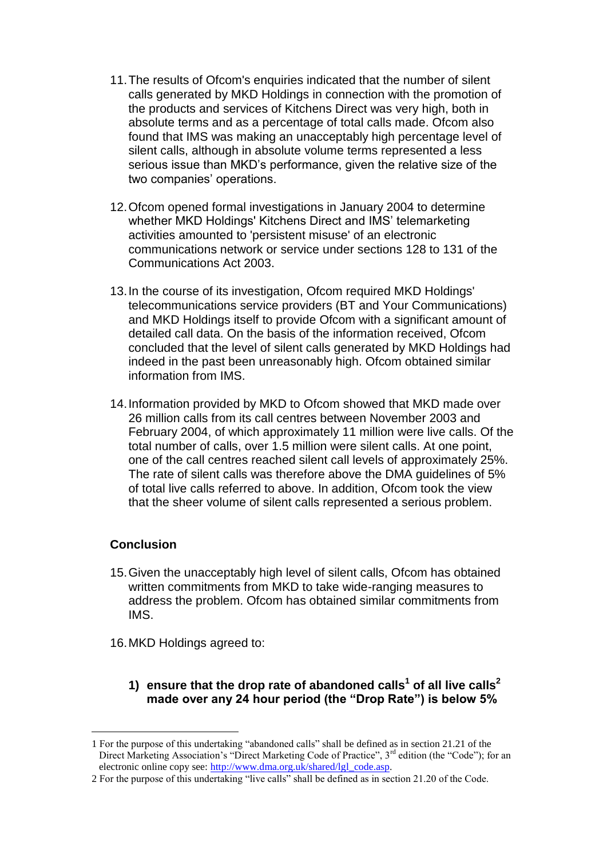- 11.The results of Ofcom's enquiries indicated that the number of silent calls generated by MKD Holdings in connection with the promotion of the products and services of Kitchens Direct was very high, both in absolute terms and as a percentage of total calls made. Ofcom also found that IMS was making an unacceptably high percentage level of silent calls, although in absolute volume terms represented a less serious issue than MKD's performance, given the relative size of the two companies' operations.
- 12.Ofcom opened formal investigations in January 2004 to determine whether MKD Holdings' Kitchens Direct and IMS' telemarketing activities amounted to 'persistent misuse' of an electronic communications network or service under sections 128 to 131 of the Communications Act 2003.
- 13.In the course of its investigation, Ofcom required MKD Holdings' telecommunications service providers (BT and Your Communications) and MKD Holdings itself to provide Ofcom with a significant amount of detailed call data. On the basis of the information received, Ofcom concluded that the level of silent calls generated by MKD Holdings had indeed in the past been unreasonably high. Ofcom obtained similar information from IMS.
- 14.Information provided by MKD to Ofcom showed that MKD made over 26 million calls from its call centres between November 2003 and February 2004, of which approximately 11 million were live calls. Of the total number of calls, over 1.5 million were silent calls. At one point, one of the call centres reached silent call levels of approximately 25%. The rate of silent calls was therefore above the DMA guidelines of 5% of total live calls referred to above. In addition, Ofcom took the view that the sheer volume of silent calls represented a serious problem.

# **Conclusion**

1

- 15.Given the unacceptably high level of silent calls, Ofcom has obtained written commitments from MKD to take wide-ranging measures to address the problem. Ofcom has obtained similar commitments from IMS.
- 16.MKD Holdings agreed to:
	- **1) ensure that the drop rate of abandoned calls<sup>1</sup> of all live calls<sup>2</sup> made over any 24 hour period (the "Drop Rate") is below 5%**

<sup>1</sup> For the purpose of this undertaking "abandoned calls" shall be defined as in section 21.21 of the Direct Marketing Association's "Direct Marketing Code of Practice", 3<sup>rd</sup> edition (the "Code"); for an electronic online copy see: [http://www.dma.org.uk/shared/lgl\\_code.asp.](http://www.dma.org.uk/shared/lgl_code.asp)

<sup>2</sup> For the purpose of this undertaking "live calls" shall be defined as in section 21.20 of the Code.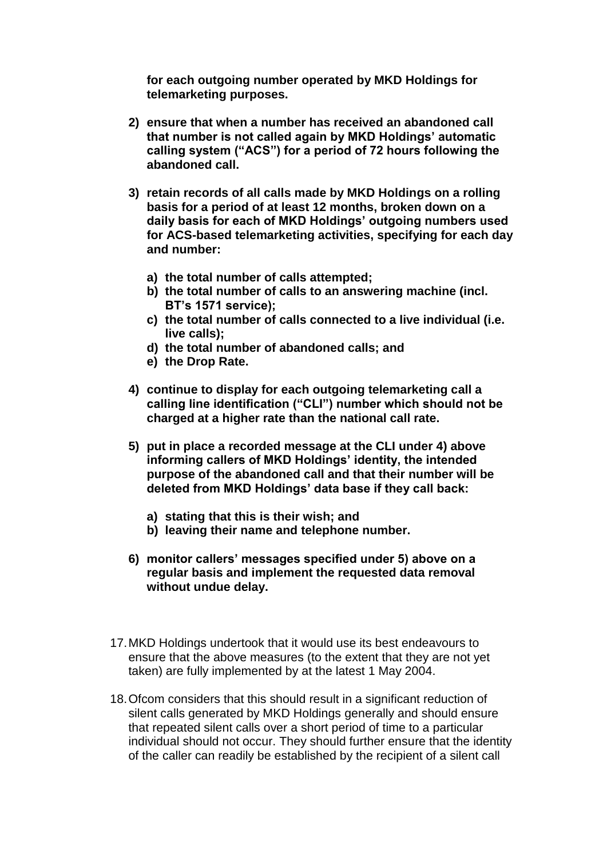**for each outgoing number operated by MKD Holdings for telemarketing purposes.**

- **2) ensure that when a number has received an abandoned call that number is not called again by MKD Holdings' automatic calling system ("ACS") for a period of 72 hours following the abandoned call.**
- **3) retain records of all calls made by MKD Holdings on a rolling basis for a period of at least 12 months, broken down on a daily basis for each of MKD Holdings' outgoing numbers used for ACS-based telemarketing activities, specifying for each day and number:**
	- **a) the total number of calls attempted;**
	- **b) the total number of calls to an answering machine (incl. BT's 1571 service);**
	- **c) the total number of calls connected to a live individual (i.e. live calls);**
	- **d) the total number of abandoned calls; and**
	- **e) the Drop Rate.**
- **4) continue to display for each outgoing telemarketing call a calling line identification ("CLI") number which should not be charged at a higher rate than the national call rate.**
- **5) put in place a recorded message at the CLI under 4) above informing callers of MKD Holdings' identity, the intended purpose of the abandoned call and that their number will be deleted from MKD Holdings' data base if they call back:**
	- **a) stating that this is their wish; and**
	- **b) leaving their name and telephone number.**
- **6) monitor callers' messages specified under 5) above on a regular basis and implement the requested data removal without undue delay.**
- 17.MKD Holdings undertook that it would use its best endeavours to ensure that the above measures (to the extent that they are not yet taken) are fully implemented by at the latest 1 May 2004.
- 18.Ofcom considers that this should result in a significant reduction of silent calls generated by MKD Holdings generally and should ensure that repeated silent calls over a short period of time to a particular individual should not occur. They should further ensure that the identity of the caller can readily be established by the recipient of a silent call